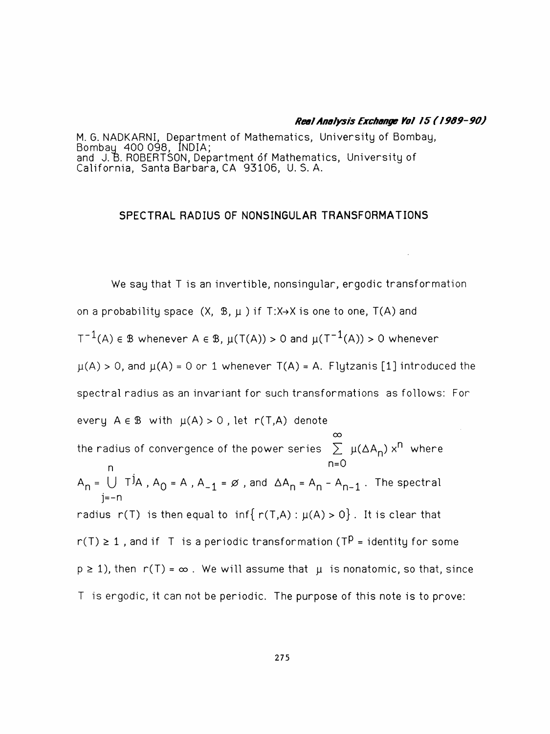#### Real Analysis Exchange Yol 15 (1989-90)

 M. G. NADKARNI, Department of Mathematics, University of Bombay, Bombay 400 098, INDIA; and J. B. ROBERTSON, Department óf Mathematics, University of California, Santa Barbara, CA 93106, U. S. A.

### SPECTRAL RADIUS OF N0NSIN6ULAR TRANSFORMATIONS

 We say that T is an invertible, nonsingular, ergodic transformation on a probability space  $(X, \mathcal{B}, \mu)$  if T:X->X is one to one, T(A) and  $T^{-1}(A) \in \mathbb{B}$  whenever A  $\in \mathbb{B}$ ,  $\mu(T(A)) > 0$  and  $\mu(T^{-1}(A)) > 0$  whenever  $\mu(A) > 0$ , and  $\mu(A) = 0$  or 1 whenever T(A) = A. Flytzanis [1] introduced the spectral radius as an invariant for such transformations as follows: For every  $A \in \mathbb{B}$  with  $\mu(A) > 0$ , let r(T,A) denote  $\infty$ the radius of convergence of the power series  $\sum_{\lambda} \mu(\Delta A_{\textsf{\textbf{N}}})$  xn where  $A \in \mathbb{B}$  with  $\mu(A) > 0$ , let  $r(T,A)$  denote<br>
dius of convergence of the power series  $\sum_{n=0}^{\infty}$ <br>  $\Box$  T<sup>j</sup>A, A<sub>O</sub> = A, A<sub>-1</sub> =  $\emptyset$ , and  $\Delta A_n = A_n - A_n$ the radius of convergence of the power series  $\sum_{n=0}^{\infty} \mu(\Delta A_n) x^n$  where<br>  $A_n = \bigcup_{j=-n}^{\infty} T^jA$ ,  $A_0 = A$ ,  $A_{-1} = \emptyset$ , and  $\Delta A_n = A_{n} - A_{n-1}$ . The spectral<br>  $A_n = \bigcup_{j=-n}^{\infty} T^jA_j$ . j=-n radius r(T) is then equal to  $inf{r(T,A): \mu(A) > 0}$ . It is clear that  $r(T) \ge 1$ , and if T is a periodic transformation (TP = identity for some  $p \ge 1$ ), then  $r(T) = \infty$ . We will assume that  $\mu$  is nonatomic, so that, since T is ergodic, it can not be periodic. The purpose of this note is to prove: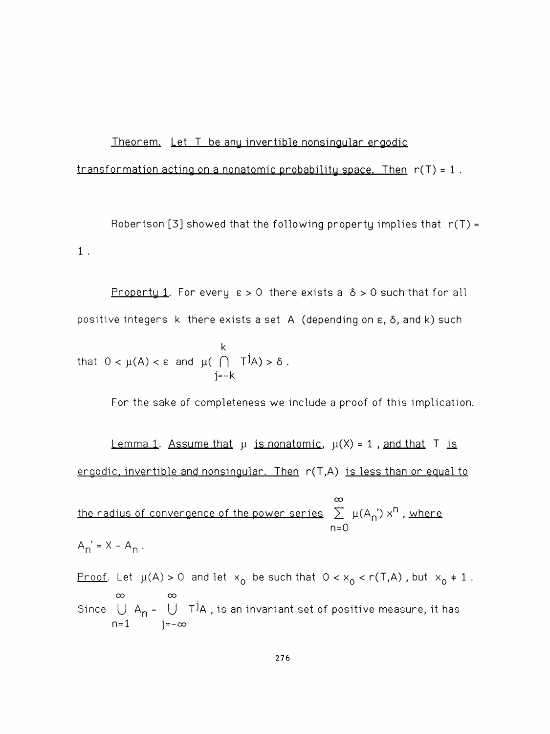# Theorem. Let T be anu invertible nonsingular eraodic

# transformation acting on a nonatomic probability space. Then  $r(T) = 1$ .

Robertson [3] showed that the following property implies that  $r(T) =$ 1 .

Property 1. For every  $\varepsilon > 0$  there exists a  $\delta > 0$  such that for all positive integers  $k$  there exists a set  $A$  (depending on  $\varepsilon$ ,  $\delta$ , and  $k$ ) such

that 
$$
0 < \mu(A) < \varepsilon
$$
 and  $\mu(\bigcap_{j=-k}^{k} T^{j}A) > \delta$ .

For the sake of completeness we include a proof of this implication.

Lemma 1. Assume that  $\mu$  is nonatomic,  $\mu(X) = 1$ , and that T is. ergodic, invertible and nonsingular. Then r(T,A) is less than or equal to

the radius of convergence of the power series

\n
$$
\sum_{n=0}^{\infty} \mu(A_n) x^n
$$
\n, where

$$
A_n' = X - A_n.
$$

<u>Proof</u>. Let  $\mu(A) > 0$  and let  $x_0$  be such that  $0 < x_0 < r(T,A)$  , but  $x_0 \ne 1$  . Since  $\bigcup_{n=1}^{\infty} A_n = \bigcup_{j=-\infty}^{\infty} T^j A$ , is an invariant set of positive measure, it has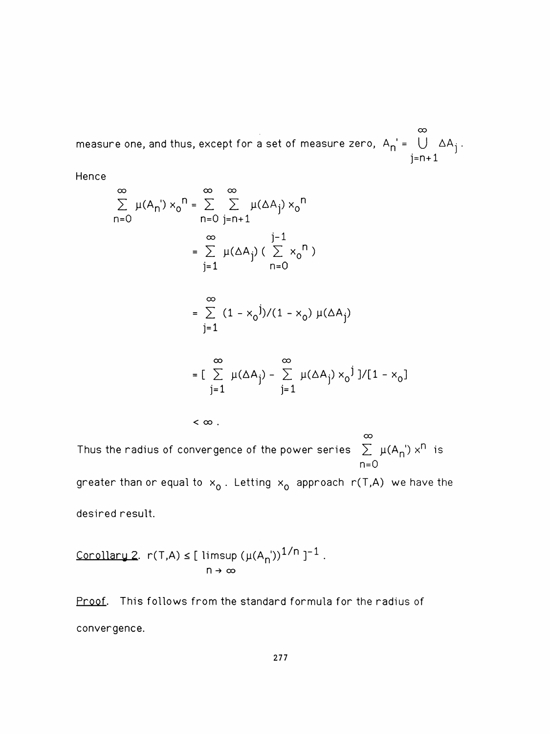°o measure one, and thus, except for a set of measure zero,  $A_{\mathsf{N}} = \bigcup_{\mathsf{N}} \Delta A_{\mathsf{N}}$  . j=n+l

Hence

$$
\sum_{n=0}^{\infty} \mu(A_n') \times_0^n = \sum_{n=0}^{\infty} \sum_{j=n+1}^{\infty} \mu(\Delta A_j) \times_0^n
$$
  

$$
= \sum_{j=1}^{\infty} \mu(\Delta A_j) \left( \sum_{n=0}^{j-1} x_0^n \right)
$$
  

$$
= \sum_{j=1}^{\infty} (1 - x_0^j)/(1 - x_0) \mu(\Delta A_j)
$$

$$
= \left[\sum_{j=1}^{\infty} \mu(\Delta A_j) - \sum_{j=1}^{\infty} \mu(\Delta A_j) x_0^j\right]/[1 - x_0]
$$

 $<$   $\infty$  .

 $\infty$ Thus the radius of convergence of the power series  $\sum_{\alpha} \mu(A_{\alpha})$  x<sup>n</sup> is n=0

greater than or equal to  $x_0$ . Letting  $x_0$  approach r(T,A) we have the desired result.

$$
\frac{\text{Corollary 2.}}{2} \cdot r(T,A) \leq [\text{ limsup } (\mu(A_n)^{1/n})^{-1}].
$$
  

$$
n \to \infty
$$

Proof. This follows from the standard formula for the radius of convergence.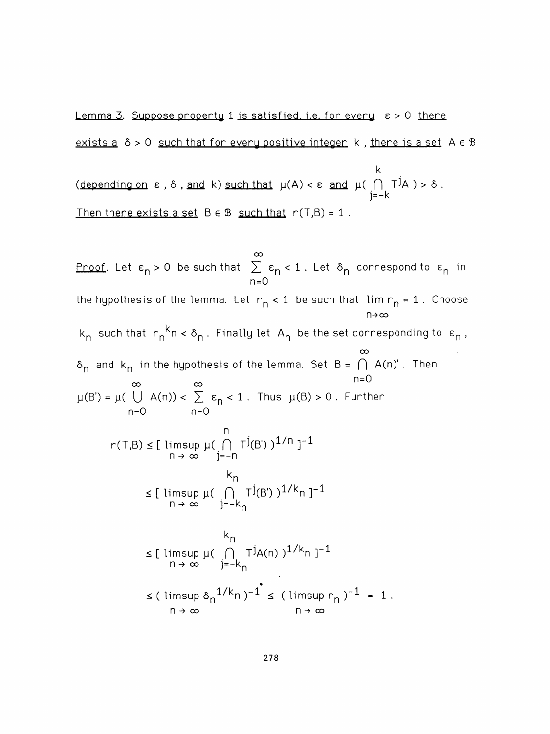Lemma 3. Suppose property 1 is satisfied, i.e. for every  $\varepsilon > 0$  there exists a  $\delta > 0$  such that for every positive integer k, there is a set  $A \in \mathbb{B}$ 

 k  $\frac{1}{2}$  (depending on c, o, and k) such that  $p(r)$  j=-k Then there exists a set  $B \in \mathcal{B}$  such that  $r(T,B) = 1$ .

 $\infty$ <u>Proof</u>. Let  $\varepsilon_{\sf n}$  > 0 be such that  $\;\geq\; \varepsilon_{\sf n} < 1$  . Let  $\;\delta_{\sf n}$  correspond to  $\;\varepsilon_{\sf n}$  in n=0 the hypothesis of the lemma. Let  $r_n < 1$  be such that  $\lim r_n = 1$ . Choose n-»oo  $k_n$  such that  $r_n^k n < \delta_n$ . Finally let A<sub>n</sub> be the set corresponding to  $\varepsilon_n$ ,  $\infty$  $\delta_n$  and  $k_n$  in the hypothesis of the lemma. Set  $B = \bigcap A(n)'$ . Then  $n=0$  $\mu(B') = \mu(\bigcup A(n)) < \sum_{n=0}^{\infty} \varepsilon_n < 1$ . Thus  $\mu(B) > 0$ . Further l I  $r(T,B) \leq [$  limsup  $\mu(\bigcap_{i} T^{j}(B^{i}))$ n → ∞ i=-n  $\mathsf{m}$ ≤ [ limsup µ( ( )<sub>,</sub> TJ(B') )<sup>⊥</sup> n → ∞ i=-k<sub>n</sub>  $\mathsf{m}$  < [ limsup p( H T^A(n) ļ-^n ]"^ n→∞ )=-k<sub>n</sub>  $\leq$  ( limsup  $o_n^{2k}$  or  $n \to \infty$ <br>  $n \to \infty$   $n \to \infty$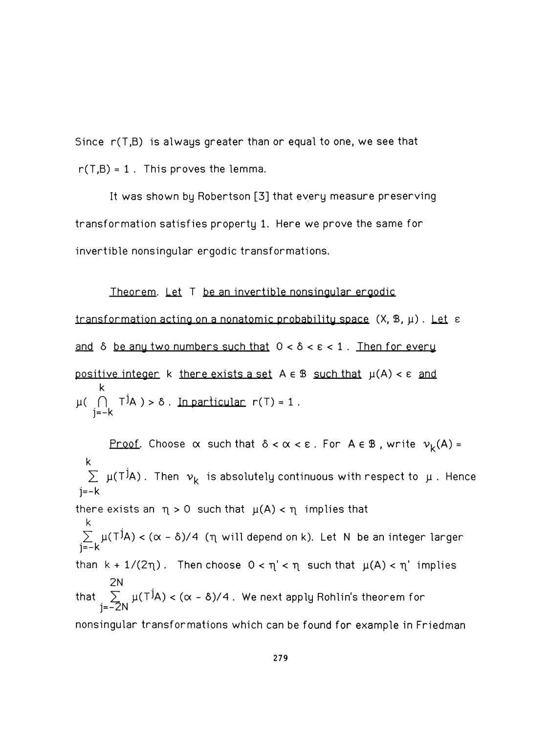Since  $r(T,B)$  is always greater than or equal to one, we see that  $r(T,B) = 1$ . This proves the lemma.

 It was shown by Robertson [3] that every measure preserving transformation satisfies property 1. Here we prove the same for invertible nonsingular ergodic transformations.

Theorem. Let  $T$  be an invertible nonsingular ergodic transformation acting on a nonatomic probability space  $(X, \mathcal{B}, \mu)$ . Let  $\epsilon$ and  $\delta$  be any two numbers such that  $0 < \delta < \epsilon < 1$ . Then for every positive integer k there exists a set  $A \in \mathcal{B}$  such that  $\mu(A) < \varepsilon$  and k  $\mu$ <sub>(ii)</sub> rm  $\mu$   $\sim$  0 . In particular j=-k

Proof. Choose  $\alpha$  such that  $\delta < \alpha < \epsilon$ . For  $A \in \mathcal{B}$ , write  $v_k(A) =$  k  $\angle$   $\mu$ (T/A) . Then  $v_k$  is absolutely continuous  $j=-k$ there exists an  $\eta > 0$  such that  $\mu(A) < \eta$  implies that k  $\sum_{i=1}^N \mu(1^iA) < (\alpha - \delta)/4$  ( $\eta$  will depend on i j=-k than  $k + 1/(2\eta)$ . Then choose  $0 < \eta' < \eta$  such that  $\mu(A) < \eta'$  implies 2N that  $\sum_{\alpha\in\mathcal{A}}\mu(1^jA)<(\alpha-\delta)/4$  . We next apply Rohlin's theorem j=-2N nonsingular transformations which can be found for example in Friedman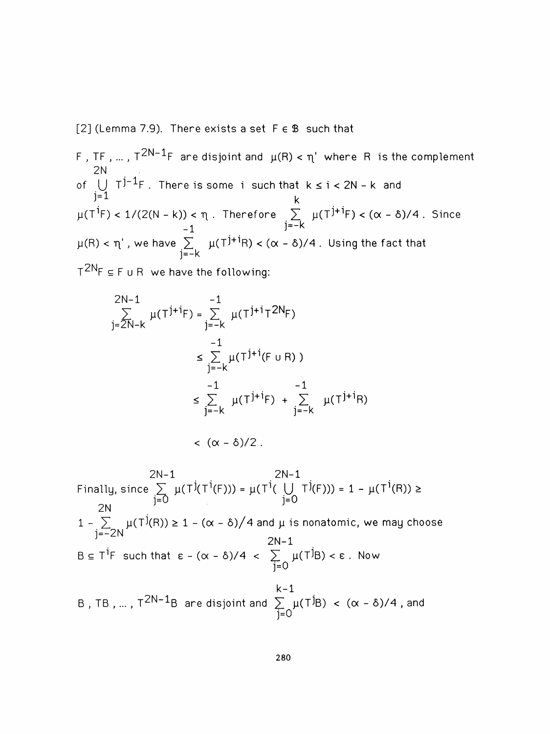[2] (Lemma 7.9). There exists a set  $F \in \mathcal{B}$  such that

F, TF, ...,  $T^{2N-1}F$  are disjoint and  $\mu(R) < \eta'$  where R is the complement 2N of  $\bigcup_{\lambda} T^{J - 1}$  F. There is some i such that k  $\leq i < 2N - k$  and TF , ... , T<sup>2N-1</sup>F are disjoint and µ(R)  $\cdot$ <br>2N U T<sup>j-1</sup>F . There is some i such that<br>j=1 k 2N<br>
of  $\bigcup_{j=1} \tau^{j-1}F$ . There is some i such that  $k \le i < 2N - k$  and<br>  $\mu(T^{i}F) < 1/(2(N - k)) < \eta$ . Therefore  $\sum_{j=-k}^{k} \mu(T^{j+i}F) < (\alpha - \delta)/4$ . Since<br>  $-1$  $\mu(T^{\dot{1}}F) < 1/(2(N-k)) < \eta$ . Therefore  $\sum_{j=-k}^{k} \mu(T^{\dot{1}+ \dot{1}}F) < (\alpha - \delta)/4$ . Since  $\mu(R) < \eta'$  , we have  $\sum_{j=-k}^{-1} \mu(T^{j+i}R) < (\alpha - \delta)/4$  . Using the fact that  $T^{2N}F \subseteq F$  u R we have the following:

2N-1<br>  $\sum_{j=\overline{2N}-k}^{-1} \mu(T^{j+i}F) = \sum_{j=-k}^{-1} \mu(T^{j+i}T^{2N}F)$  -1  $\leq \sum_{j=-k}^{k} \mu(T^{j+i}(F \cup R))$  $\leq \sum_{j=-k}^{\infty} \mu(T^{j+1}(F \cup R))$ <br>  $\leq \sum_{j=-k}^{-1} \mu(T^{j+1}F) + \sum_{j=-k}^{-1} \mu(T^{j+1}R)$  $<$   $(\alpha - \delta)/2$ .

 $2N-1$   $2N-1$ 2N−1<br>Finally, since  $\sum_{j=0}^{2N-1} \mu(T^j(T^i(F))) = \mu(T^i(\bigcup_{j=0}^{N-1} T^j(F))) = 1 - \mu(T^i(R)) \ge$  2N  $\sum_{j=0}^{2N-1} \mu(T^{j}(T^{i}(F))) = \mu(T^{i}(\bigcup_{j=0}^{2N-1}$  $1 - \sum_{\alpha \in \mathcal{N}} \mu(\top(\mathsf{R})) \geq 1 - (\alpha + \delta)/4$  and  $\mu$  is nonatomic, we may cho j=-2N 2N-1  $B \subseteq T^1$ F such that  $\varepsilon$  -  $(\alpha - \delta)/4$  <  $\sum_{i=0}^{\infty} \mu(T^jB) < \varepsilon$  . Now j=0 k-1 B , TB , … , T $^{2N-1}$ B are disjoint and  $\sum\limits_{i=1}^N \mu(T^jB) < (\alpha - \delta)/4$  , and j=∪